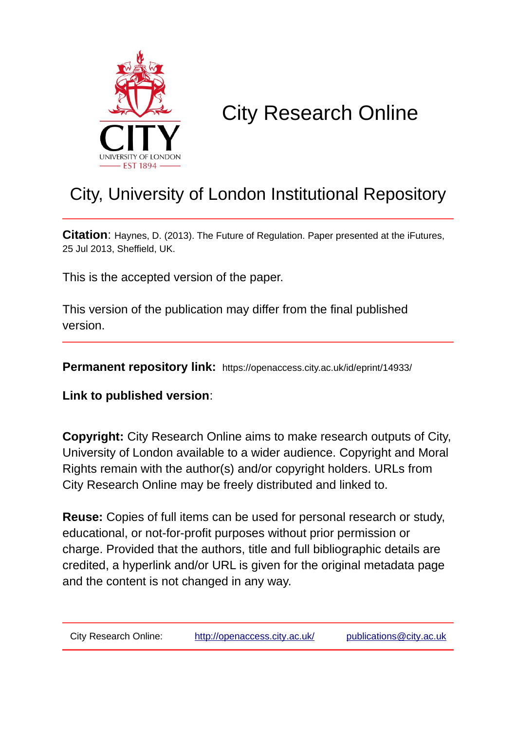

# City Research Online

## City, University of London Institutional Repository

**Citation**: Haynes, D. (2013). The Future of Regulation. Paper presented at the iFutures, 25 Jul 2013, Sheffield, UK.

This is the accepted version of the paper.

This version of the publication may differ from the final published version.

**Permanent repository link:** https://openaccess.city.ac.uk/id/eprint/14933/

**Link to published version**:

**Copyright:** City Research Online aims to make research outputs of City, University of London available to a wider audience. Copyright and Moral Rights remain with the author(s) and/or copyright holders. URLs from City Research Online may be freely distributed and linked to.

**Reuse:** Copies of full items can be used for personal research or study, educational, or not-for-profit purposes without prior permission or charge. Provided that the authors, title and full bibliographic details are credited, a hyperlink and/or URL is given for the original metadata page and the content is not changed in any way.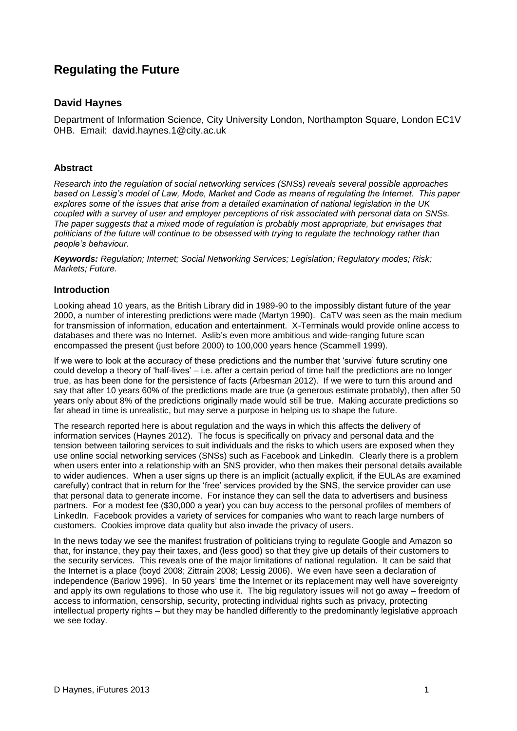### **Regulating the Future**

#### **David Haynes**

Department of Information Science, City University London, Northampton Square, London EC1V 0HB. Email: david.haynes.1@city.ac.uk

#### **Abstract**

*Research into the regulation of social networking services (SNSs) reveals several possible approaches based on Lessig's model of Law, Mode, Market and Code as means of regulating the Internet. This paper explores some of the issues that arise from a detailed examination of national legislation in the UK coupled with a survey of user and employer perceptions of risk associated with personal data on SNSs. The paper suggests that a mixed mode of regulation is probably most appropriate, but envisages that politicians of the future will continue to be obsessed with trying to regulate the technology rather than people's behaviour.*

*Keywords: Regulation; Internet; Social Networking Services; Legislation; Regulatory modes; Risk; Markets; Future.*

#### **Introduction**

Looking ahead 10 years, as the British Library did in 1989-90 to the impossibly distant future of the year 2000, a number of interesting predictions were made (Martyn 1990). CaTV was seen as the main medium for transmission of information, education and entertainment. X-Terminals would provide online access to databases and there was no Internet. Aslib's even more ambitious and wide-ranging future scan encompassed the present (just before 2000) to 100,000 years hence (Scammell 1999).

If we were to look at the accuracy of these predictions and the number that 'survive' future scrutiny one could develop a theory of 'half-lives' – i.e. after a certain period of time half the predictions are no longer true, as has been done for the persistence of facts (Arbesman 2012). If we were to turn this around and say that after 10 years 60% of the predictions made are true (a generous estimate probably), then after 50 years only about 8% of the predictions originally made would still be true. Making accurate predictions so far ahead in time is unrealistic, but may serve a purpose in helping us to shape the future.

The research reported here is about regulation and the ways in which this affects the delivery of information services (Haynes 2012). The focus is specifically on privacy and personal data and the tension between tailoring services to suit individuals and the risks to which users are exposed when they use online social networking services (SNSs) such as Facebook and LinkedIn. Clearly there is a problem when users enter into a relationship with an SNS provider, who then makes their personal details available to wider audiences. When a user signs up there is an implicit (actually explicit, if the EULAs are examined carefully) contract that in return for the 'free' services provided by the SNS, the service provider can use that personal data to generate income. For instance they can sell the data to advertisers and business partners. For a modest fee (\$30,000 a year) you can buy access to the personal profiles of members of LinkedIn. Facebook provides a variety of services for companies who want to reach large numbers of customers. Cookies improve data quality but also invade the privacy of users.

In the news today we see the manifest frustration of politicians trying to regulate Google and Amazon so that, for instance, they pay their taxes, and (less good) so that they give up details of their customers to the security services. This reveals one of the major limitations of national regulation. It can be said that the Internet is a place (boyd 2008; Zittrain 2008; Lessig 2006). We even have seen a declaration of independence (Barlow 1996). In 50 years' time the Internet or its replacement may well have sovereignty and apply its own regulations to those who use it. The big regulatory issues will not go away – freedom of access to information, censorship, security, protecting individual rights such as privacy, protecting intellectual property rights – but they may be handled differently to the predominantly legislative approach we see today.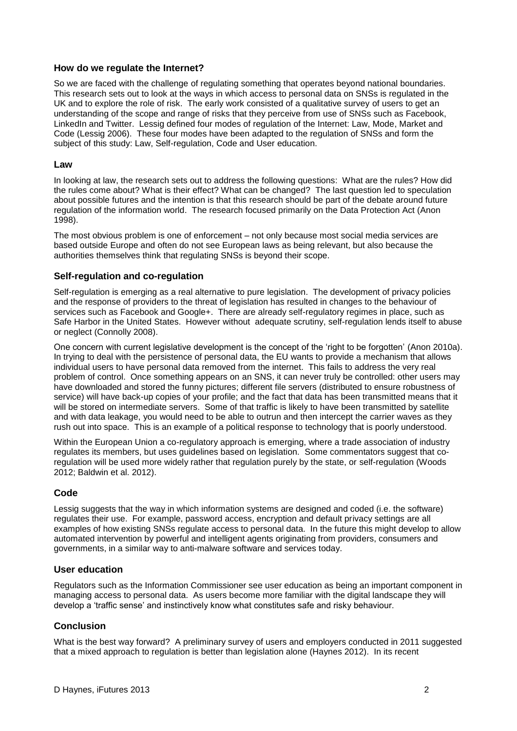#### **How do we regulate the Internet?**

So we are faced with the challenge of regulating something that operates beyond national boundaries. This research sets out to look at the ways in which access to personal data on SNSs is regulated in the UK and to explore the role of risk. The early work consisted of a qualitative survey of users to get an understanding of the scope and range of risks that they perceive from use of SNSs such as Facebook, LinkedIn and Twitter. Lessig defined four modes of regulation of the Internet: Law, Mode, Market and Code (Lessig 2006). These four modes have been adapted to the regulation of SNSs and form the subject of this study: Law, Self-regulation, Code and User education.

#### **Law**

In looking at law, the research sets out to address the following questions: What are the rules? How did the rules come about? What is their effect? What can be changed? The last question led to speculation about possible futures and the intention is that this research should be part of the debate around future regulation of the information world. The research focused primarily on the Data Protection Act (Anon 1998).

The most obvious problem is one of enforcement – not only because most social media services are based outside Europe and often do not see European laws as being relevant, but also because the authorities themselves think that regulating SNSs is beyond their scope.

#### **Self-regulation and co-regulation**

Self-regulation is emerging as a real alternative to pure legislation. The development of privacy policies and the response of providers to the threat of legislation has resulted in changes to the behaviour of services such as Facebook and Google+. There are already self-regulatory regimes in place, such as Safe Harbor in the United States. However without adequate scrutiny, self-regulation lends itself to abuse or neglect (Connolly 2008).

One concern with current legislative development is the concept of the 'right to be forgotten' (Anon 2010a). In trying to deal with the persistence of personal data, the EU wants to provide a mechanism that allows individual users to have personal data removed from the internet. This fails to address the very real problem of control. Once something appears on an SNS, it can never truly be controlled: other users may have downloaded and stored the funny pictures; different file servers (distributed to ensure robustness of service) will have back-up copies of your profile; and the fact that data has been transmitted means that it will be stored on intermediate servers. Some of that traffic is likely to have been transmitted by satellite and with data leakage, you would need to be able to outrun and then intercept the carrier waves as they rush out into space. This is an example of a political response to technology that is poorly understood.

Within the European Union a co-regulatory approach is emerging, where a trade association of industry regulates its members, but uses guidelines based on legislation. Some commentators suggest that coregulation will be used more widely rather that regulation purely by the state, or self-regulation (Woods 2012; Baldwin et al. 2012).

#### **Code**

Lessig suggests that the way in which information systems are designed and coded (i.e. the software) regulates their use. For example, password access, encryption and default privacy settings are all examples of how existing SNSs regulate access to personal data. In the future this might develop to allow automated intervention by powerful and intelligent agents originating from providers, consumers and governments, in a similar way to anti-malware software and services today.

#### **User education**

Regulators such as the Information Commissioner see user education as being an important component in managing access to personal data. As users become more familiar with the digital landscape they will develop a 'traffic sense' and instinctively know what constitutes safe and risky behaviour.

#### **Conclusion**

What is the best way forward? A preliminary survey of users and employers conducted in 2011 suggested that a mixed approach to regulation is better than legislation alone (Haynes 2012). In its recent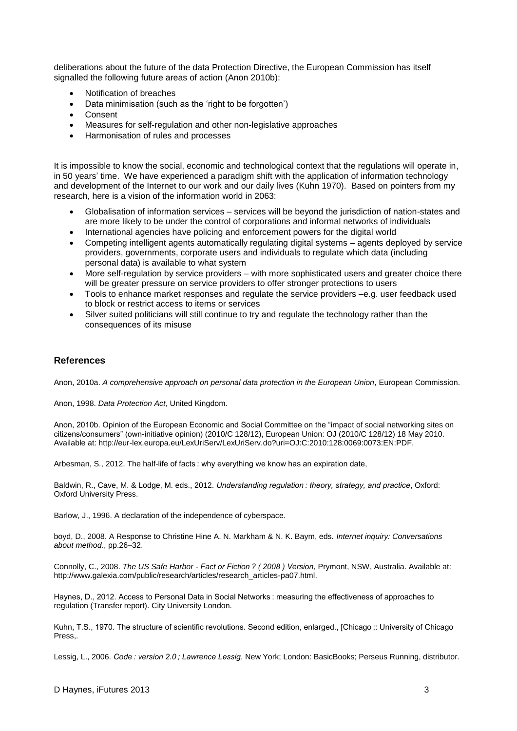deliberations about the future of the data Protection Directive, the European Commission has itself signalled the following future areas of action (Anon 2010b):

- Notification of breaches
- Data minimisation (such as the 'right to be forgotten')
- Consent
- Measures for self-regulation and other non-legislative approaches
- Harmonisation of rules and processes

It is impossible to know the social, economic and technological context that the regulations will operate in, in 50 years' time. We have experienced a paradigm shift with the application of information technology and development of the Internet to our work and our daily lives (Kuhn 1970). Based on pointers from my research, here is a vision of the information world in 2063:

- Globalisation of information services services will be beyond the jurisdiction of nation-states and are more likely to be under the control of corporations and informal networks of individuals
- International agencies have policing and enforcement powers for the digital world
- Competing intelligent agents automatically regulating digital systems agents deployed by service providers, governments, corporate users and individuals to regulate which data (including personal data) is available to what system
- More self-regulation by service providers with more sophisticated users and greater choice there will be greater pressure on service providers to offer stronger protections to users
- Tools to enhance market responses and regulate the service providers –e.g. user feedback used to block or restrict access to items or services
- Silver suited politicians will still continue to try and regulate the technology rather than the consequences of its misuse

#### **References**

Anon, 2010a. *A comprehensive approach on personal data protection in the European Union*, European Commission.

Anon, 1998. *Data Protection Act*, United Kingdom.

Anon, 2010b. Opinion of the European Economic and Social Committee on the "impact of social networking sites on citizens/consumers" (own-initiative opinion) (2010/C 128/12), European Union: OJ (2010/C 128/12) 18 May 2010. Available at: http://eur-lex.europa.eu/LexUriServ/LexUriServ.do?uri=OJ:C:2010:128:0069:0073:EN:PDF.

Arbesman, S., 2012. The half-life of facts : why everything we know has an expiration date,

Baldwin, R., Cave, M. & Lodge, M. eds., 2012. *Understanding regulation : theory, strategy, and practice*, Oxford: Oxford University Press.

Barlow, J., 1996. A declaration of the independence of cyberspace.

boyd, D., 2008. A Response to Christine Hine A. N. Markham & N. K. Baym, eds. *Internet inquiry: Conversations about method.*, pp.26–32.

Connolly, C., 2008. *The US Safe Harbor - Fact or Fiction ? ( 2008 ) Version*, Prymont, NSW, Australia. Available at: http://www.galexia.com/public/research/articles/research\_articles-pa07.html.

Haynes, D., 2012. Access to Personal Data in Social Networks : measuring the effectiveness of approaches to regulation (Transfer report). City University London.

Kuhn, T.S., 1970. The structure of scientific revolutions. Second edition, enlarged., [Chicago ;: University of Chicago Press,.

Lessig, L., 2006. *Code : version 2.0 ; Lawrence Lessig*, New York; London: BasicBooks; Perseus Running, distributor.